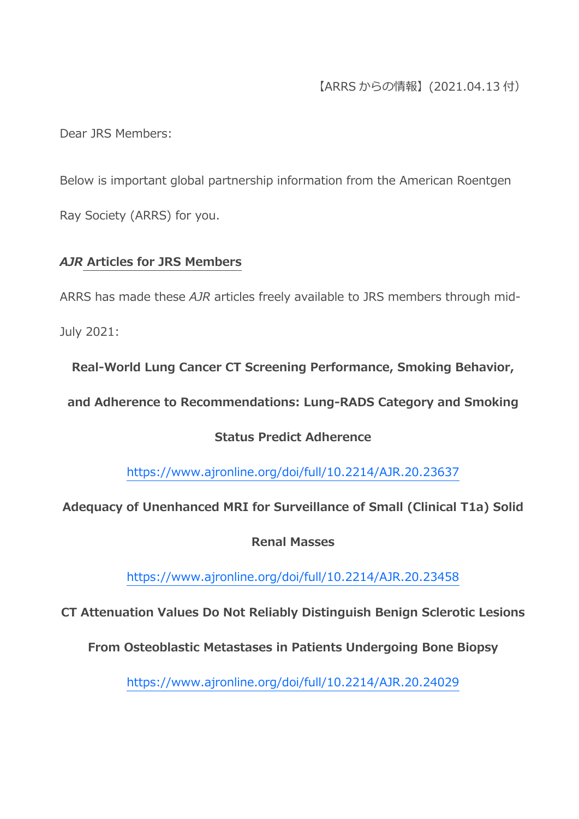## 【ARRS からの情報】(2021.04.13 付)

Dear JRS Members:

Below is important global partnership information from the American Roentgen Ray Society (ARRS) for you.

### *AJR* **Articles for JRS Members**

ARRS has made these *AJR* articles freely available to JRS members through mid-July 2021:

**Real-World Lung Cancer CT Screening Performance, Smoking Behavior,** 

**and Adherence to Recommendations: Lung-RADS Category and Smoking** 

## **Status Predict Adherence**

<https://www.ajronline.org/doi/full/10.2214/AJR.20.23637>

**Adequacy of Unenhanced MRI for Surveillance of Small (Clinical T1a) Solid** 

**Renal Masses**

<https://www.ajronline.org/doi/full/10.2214/AJR.20.23458>

**CT Attenuation Values Do Not Reliably Distinguish Benign Sclerotic Lesions** 

**From Osteoblastic Metastases in Patients Undergoing Bone Biopsy**

<https://www.ajronline.org/doi/full/10.2214/AJR.20.24029>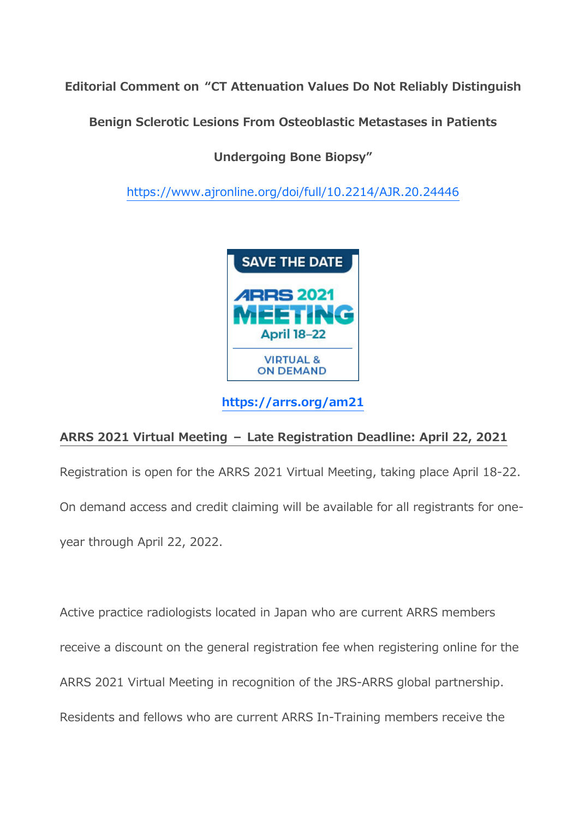**Editorial Comment on "CT Attenuation Values Do Not Reliably Distinguish** 

**Benign Sclerotic Lesions From Osteoblastic Metastases in Patients** 

**Undergoing Bone Biopsy"**

<https://www.ajronline.org/doi/full/10.2214/AJR.20.24446>



**<https://arrs.org/am21>**

# **ARRS 2021 Virtual Meeting – Late Registration Deadline: April 22, 2021**

Registration is open for the ARRS 2021 Virtual Meeting, taking place April 18-22. On demand access and credit claiming will be available for all registrants for oneyear through April 22, 2022.

Active practice radiologists located in Japan who are current ARRS members receive a discount on the general registration fee when registering online for the ARRS 2021 Virtual Meeting in recognition of the JRS-ARRS global partnership. Residents and fellows who are current ARRS In-Training members receive the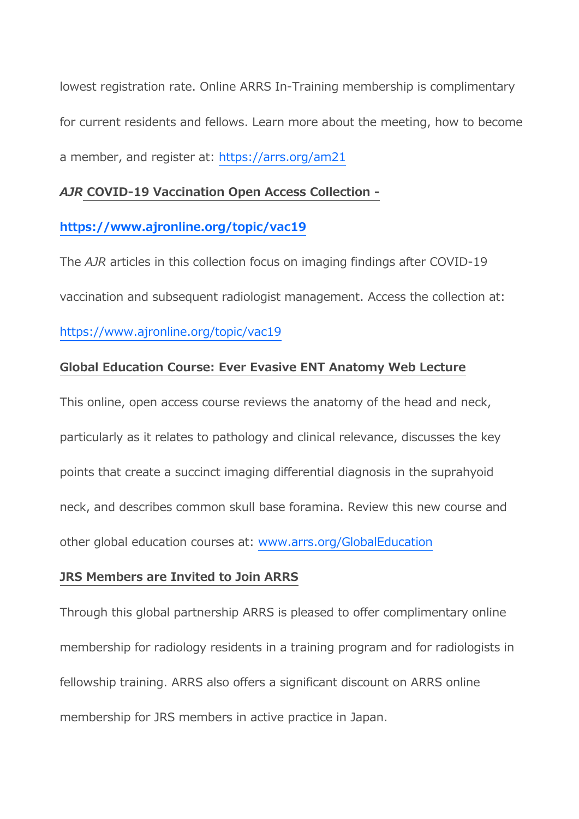lowest registration rate. Online ARRS In-Training membership is complimentary for current residents and fellows. Learn more about the meeting, how to become a member, and register at: <https://arrs.org/am21>

#### *AJR* **COVID-19 Vaccination Open Access Collection -**

### **<https://www.ajronline.org/topic/vac19>**

The *AJR* articles in this collection focus on imaging findings after COVID-19 vaccination and subsequent radiologist management. Access the collection at: <https://www.ajronline.org/topic/vac19>

### **Global Education Course: Ever Evasive ENT Anatomy Web Lecture**

This online, open access course reviews the anatomy of the head and neck, particularly as it relates to pathology and clinical relevance, discusses the key points that create a succinct imaging differential diagnosis in the suprahyoid neck, and describes common skull base foramina. Review this new course and other global education courses at: [www.arrs.org/GlobalEducation](https://www.arrs.org/GlobalEducation)

#### **JRS Members are Invited to Join ARRS**

Through this global partnership ARRS is pleased to offer complimentary online membership for radiology residents in a training program and for radiologists in fellowship training. ARRS also offers a significant discount on ARRS online membership for JRS members in active practice in Japan.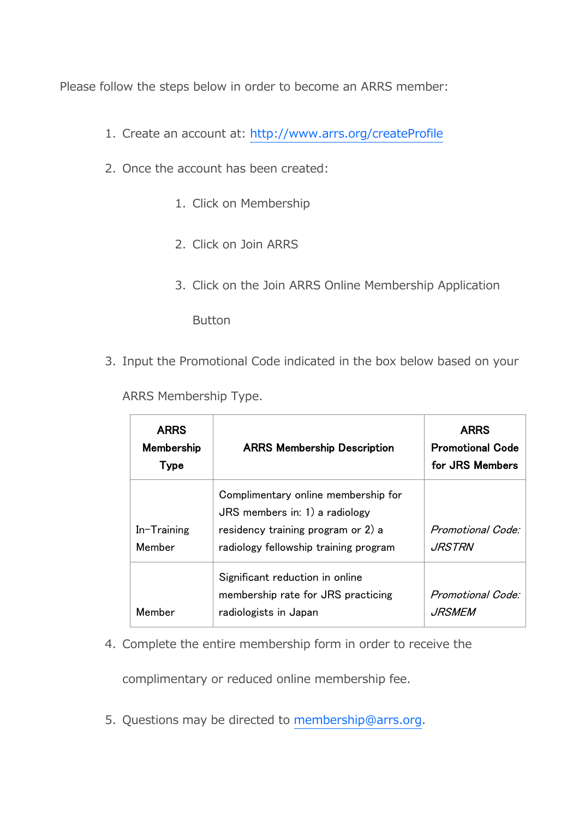Please follow the steps below in order to become an ARRS member:

- 1. Create an account at: <http://www.arrs.org/createProfile>
- 2. Once the account has been created:
	- 1. Click on Membership
	- 2. Click on Join ARRS
	- 3. Click on the Join ARRS Online Membership Application

**Button** 

3. Input the Promotional Code indicated in the box below based on your

ARRS Membership Type.

| <b>ARRS</b><br>Membership<br><b>Type</b> | <b>ARRS Membership Description</b>                                                                                                                     | <b>ARRS</b><br><b>Promotional Code</b><br>for JRS Members |
|------------------------------------------|--------------------------------------------------------------------------------------------------------------------------------------------------------|-----------------------------------------------------------|
| $In-Training$<br>Member                  | Complimentary online membership for<br>$JRS$ members in: 1) a radiology<br>residency training program or 2) a<br>radiology fellowship training program | Promotional Code:<br><i>JRSTRN</i>                        |
| Member                                   | Significant reduction in online<br>membership rate for JRS practicing<br>radiologists in Japan                                                         | Promotional Code:<br>JRSMEM                               |

4. Complete the entire membership form in order to receive the

complimentary or reduced online membership fee.

5. Questions may be directed to [membership@arrs.org.](mailto:membership@arrs.org)